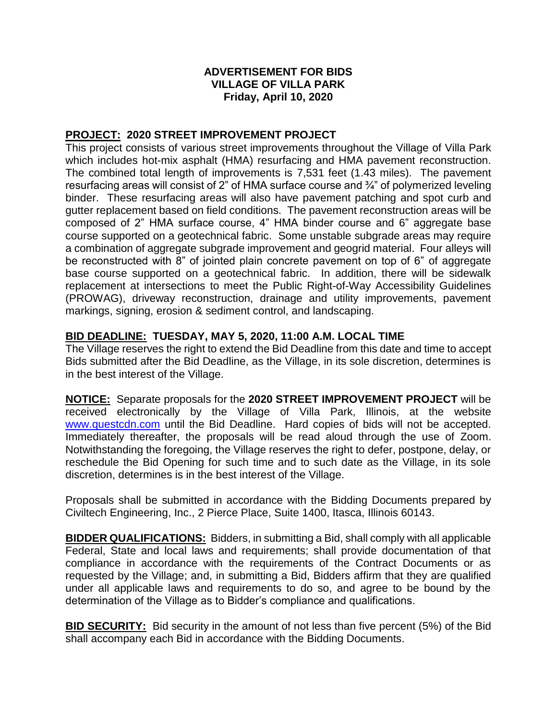## **ADVERTISEMENT FOR BIDS VILLAGE OF VILLA PARK Friday, April 10, 2020**

## **PROJECT: 2020 STREET IMPROVEMENT PROJECT**

This project consists of various street improvements throughout the Village of Villa Park which includes hot-mix asphalt (HMA) resurfacing and HMA pavement reconstruction. The combined total length of improvements is 7,531 feet (1.43 miles). The pavement resurfacing areas will consist of 2" of HMA surface course and ¾" of polymerized leveling binder. These resurfacing areas will also have pavement patching and spot curb and gutter replacement based on field conditions. The pavement reconstruction areas will be composed of 2" HMA surface course, 4" HMA binder course and 6" aggregate base course supported on a geotechnical fabric. Some unstable subgrade areas may require a combination of aggregate subgrade improvement and geogrid material. Four alleys will be reconstructed with 8" of jointed plain concrete pavement on top of 6" of aggregate base course supported on a geotechnical fabric. In addition, there will be sidewalk replacement at intersections to meet the Public Right-of-Way Accessibility Guidelines (PROWAG), driveway reconstruction, drainage and utility improvements, pavement markings, signing, erosion & sediment control, and landscaping.

## **BID DEADLINE: TUESDAY, MAY 5, 2020, 11:00 A.M. LOCAL TIME**

The Village reserves the right to extend the Bid Deadline from this date and time to accept Bids submitted after the Bid Deadline, as the Village, in its sole discretion, determines is in the best interest of the Village.

**NOTICE:** Separate proposals for the **2020 STREET IMPROVEMENT PROJECT** will be received electronically by the Village of Villa Park, Illinois, at the website [www.questcdn.com](http://www.questcdn.com/) until the Bid Deadline. Hard copies of bids will not be accepted. Immediately thereafter, the proposals will be read aloud through the use of Zoom. Notwithstanding the foregoing, the Village reserves the right to defer, postpone, delay, or reschedule the Bid Opening for such time and to such date as the Village, in its sole discretion, determines is in the best interest of the Village.

Proposals shall be submitted in accordance with the Bidding Documents prepared by Civiltech Engineering, Inc., 2 Pierce Place, Suite 1400, Itasca, Illinois 60143.

**BIDDER QUALIFICATIONS:** Bidders, in submitting a Bid, shall comply with all applicable Federal, State and local laws and requirements; shall provide documentation of that compliance in accordance with the requirements of the Contract Documents or as requested by the Village; and, in submitting a Bid, Bidders affirm that they are qualified under all applicable laws and requirements to do so, and agree to be bound by the determination of the Village as to Bidder's compliance and qualifications.

**BID SECURITY:** Bid security in the amount of not less than five percent (5%) of the Bid shall accompany each Bid in accordance with the Bidding Documents.